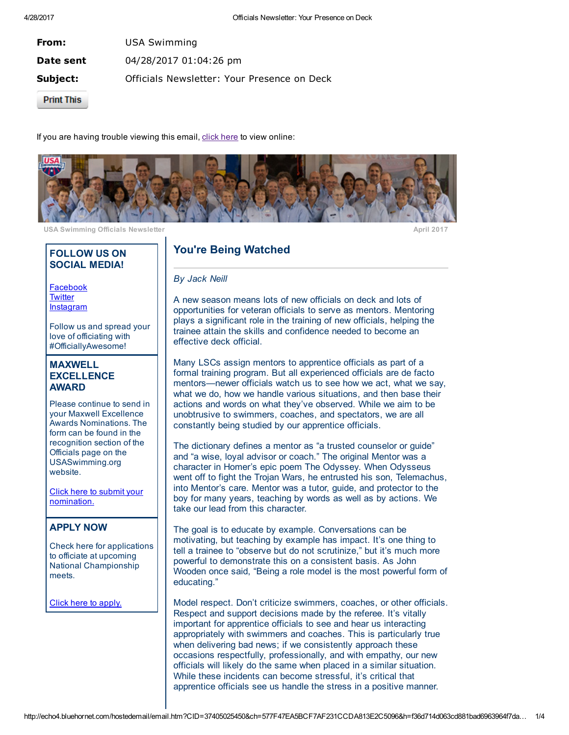| From:             | <b>USA Swimming</b>                         |
|-------------------|---------------------------------------------|
| Date sent         | 04/28/2017 01:04:26 pm                      |
| Subject:          | Officials Newsletter: Your Presence on Deck |
| <b>Print This</b> |                                             |

If you are having trouble viewing this email, click [here](http://echo4.bluehornet.com/p/vTELv9wbNL) to view online:



USA Swimming Officials Newsletter April 2017

### FOLLOW US ON SOCIAL MEDIA!

[Facebook](http://echo4.bluehornet.com/ct/92871093:TELv9wbNL:m:N:201755875:577F47EA5BCF7AF231CCDA813E2C5096) **[Twitter](http://echo4.bluehornet.com/ct/92871094:TELv9wbNL:m:N:201755875:577F47EA5BCF7AF231CCDA813E2C5096) [Instagram](http://echo4.bluehornet.com/ct/92871095:TELv9wbNL:m:N:201755875:577F47EA5BCF7AF231CCDA813E2C5096)** 

Follow us and spread your love of officiating with #OfficiallyAwesome!

### MAXWELL **EXCELLENCE** AWARD

Please continue to send in your Maxwell Excellence Awards Nominations. The form can be found in the recognition section of the Officials page on the USASwimming.org website.

Click here to submit your [nomination.](http://echo4.bluehornet.com/ct/92871096:TELv9wbNL:m:N:201755875:577F47EA5BCF7AF231CCDA813E2C5096)

# APPLY NOW

Check here for applications to officiate at upcoming National Championship meets.

Click here to [apply.](http://echo4.bluehornet.com/ct/92871097:TELv9wbNL:m:N:201755875:577F47EA5BCF7AF231CCDA813E2C5096)

# You're Being Watched

#### By Jack Neill

A new season means lots of new officials on deck and lots of opportunities for veteran officials to serve as mentors. Mentoring plays a significant role in the training of new officials, helping the trainee attain the skills and confidence needed to become an effective deck official.

Many LSCs assign mentors to apprentice officials as part of a formal training program. But all experienced officials are de facto mentors—newer officials watch us to see how we act, what we say, what we do, how we handle various situations, and then base their actions and words on what they've observed. While we aim to be unobtrusive to swimmers, coaches, and spectators, we are all constantly being studied by our apprentice officials.

The dictionary defines a mentor as "a trusted counselor or guide" and "a wise, loyal advisor or coach." The original Mentor was a character in Homer's epic poem The Odyssey. When Odysseus went off to fight the Trojan Wars, he entrusted his son, Telemachus, into Mentor's care. Mentor was a tutor, guide, and protector to the boy for many years, teaching by words as well as by actions. We take our lead from this character.

The goal is to educate by example. Conversations can be motivating, but teaching by example has impact. It's one thing to tell a trainee to "observe but do not scrutinize," but it's much more powerful to demonstrate this on a consistent basis. As John Wooden once said, "Being a role model is the most powerful form of educating."

Model respect. Don't criticize swimmers, coaches, or other officials. Respect and support decisions made by the referee. It's vitally important for apprentice officials to see and hear us interacting appropriately with swimmers and coaches. This is particularly true when delivering bad news; if we consistently approach these occasions respectfully, professionally, and with empathy, our new officials will likely do the same when placed in a similar situation. While these incidents can become stressful, it's critical that apprentice officials see us handle the stress in a positive manner.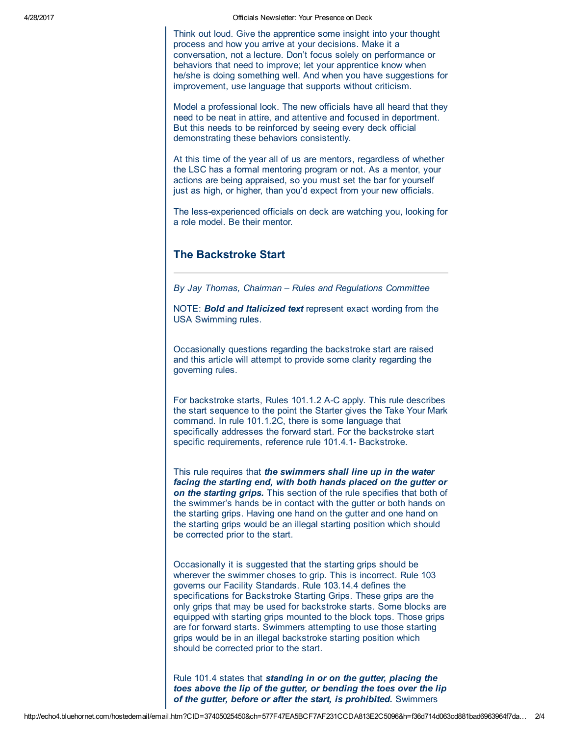4/28/2017 Officials Newsletter: Your Presence on Deck

Think out loud. Give the apprentice some insight into your thought process and how you arrive at your decisions. Make it a conversation, not a lecture. Don't focus solely on performance or behaviors that need to improve; let your apprentice know when he/she is doing something well. And when you have suggestions for improvement, use language that supports without criticism.

Model a professional look. The new officials have all heard that they need to be neat in attire, and attentive and focused in deportment. But this needs to be reinforced by seeing every deck official demonstrating these behaviors consistently.

At this time of the year all of us are mentors, regardless of whether the LSC has a formal mentoring program or not. As a mentor, your actions are being appraised, so you must set the bar for yourself just as high, or higher, than you'd expect from your new officials.

The less-experienced officials on deck are watching you, looking for a role model. Be their mentor.

## The Backstroke Start

By Jay Thomas, Chairman – Rules and Regulations Committee

NOTE: **Bold and Italicized text** represent exact wording from the USA Swimming rules.

Occasionally questions regarding the backstroke start are raised and this article will attempt to provide some clarity regarding the governing rules.

For backstroke starts, Rules 101.1.2 A-C apply. This rule describes the start sequence to the point the Starter gives the Take Your Mark command. In rule 101.1.2C, there is some language that specifically addresses the forward start. For the backstroke start specific requirements, reference rule 101.4.1- Backstroke.

This rule requires that the swimmers shall line up in the water facing the starting end, with both hands placed on the gutter or on the starting grips. This section of the rule specifies that both of the swimmer's hands be in contact with the gutter or both hands on the starting grips. Having one hand on the gutter and one hand on the starting grips would be an illegal starting position which should be corrected prior to the start.

Occasionally it is suggested that the starting grips should be wherever the swimmer choses to grip. This is incorrect. Rule 103 governs our Facility Standards. Rule 103.14.4 defines the specifications for Backstroke Starting Grips. These grips are the only grips that may be used for backstroke starts. Some blocks are equipped with starting grips mounted to the block tops. Those grips are for forward starts. Swimmers attempting to use those starting grips would be in an illegal backstroke starting position which should be corrected prior to the start.

Rule 101.4 states that standing in or on the gutter, placing the toes above the lip of the gutter, or bending the toes over the lip of the gutter, before or after the start, is prohibited. Swimmers